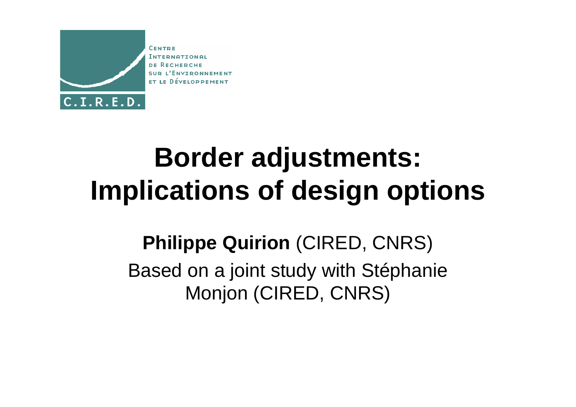

#### SUR L'ENVIRONNEMENT ET LE DÉVELOPPEMENT

## **Border adjustments: Implications of design options**

#### **Philippe Quirion** (CIRED, CNRS)Based on a joint study with Stéphanie Monjon (CIRED, CNRS)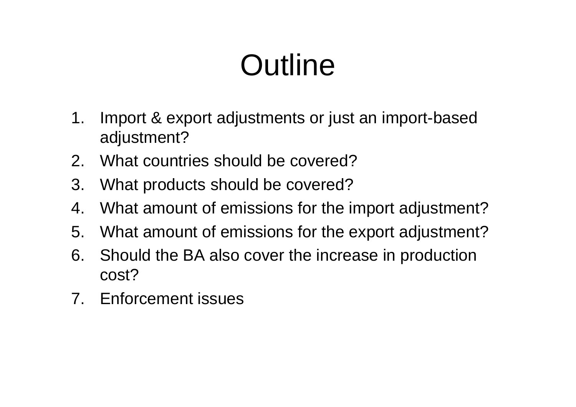# **Outline**

- 1. Import & export adjustments or just an import-basedadjustment?
- 2. What countries should be covered?
- 3. What products should be covered?
- 4. What amount of emissions for the import adjustment?
- 5. What amount of emissions for the export adjustment?
- 6. Should the BA also cover the increase in production cost?
- 7. Enforcement issues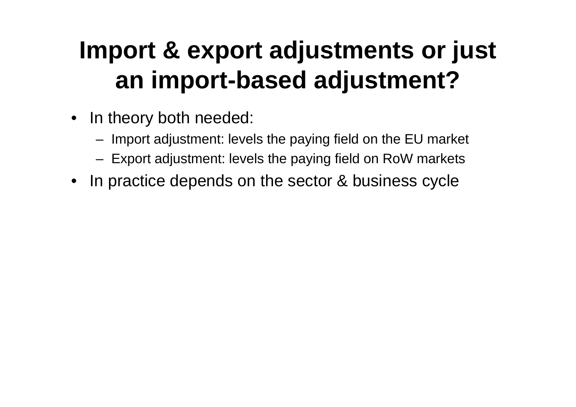### **Import & export adjustments or justan import-based adjustment?**

- In theory both needed:
	- –Import adjustment: levels the paying field on the EU market
	- –Export adjustment: levels the paying field on RoW markets
- In practice depends on the sector & business cycle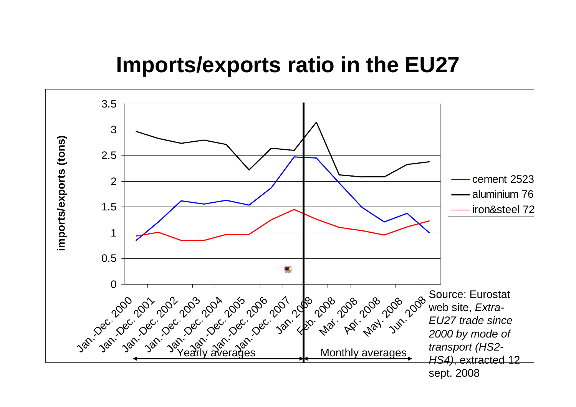#### **Imports/exports ratio in the EU27**

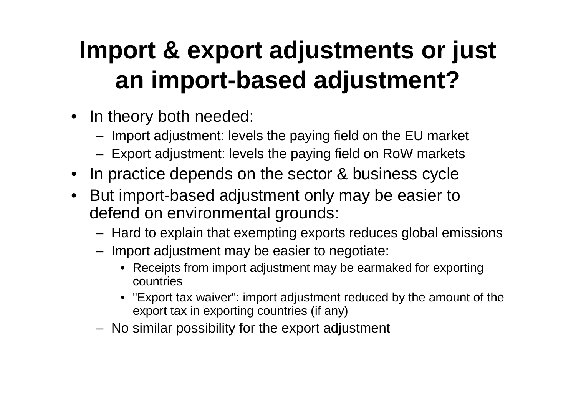### **Import & export adjustments or justan import-based adjustment?**

- In theory both needed:
	- –Import adjustment: levels the paying field on the EU market
	- –Export adjustment: levels the paying field on RoW markets
- In practice depends on the sector & business cycle
- But import-based adjustment only may be easier to  $\bullet$ defend on environmental grounds:
	- –Hard to explain that exempting exports reduces global emissions
	- – Import adjustment may be easier to negotiate:
		- Receipts from import adjustment may be earmaked for exportingcountries
		- "Export tax waiver": import adjustment reduced by the amount of the export tax in exporting countries (if any)
	- –No similar possibility for the export adjustment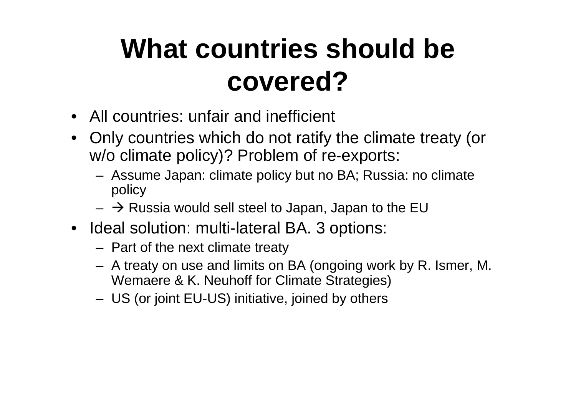## **What countries should becovered?**

- All countries: unfair and inefficient
- Only countries which do not ratify the climate treaty (orw/o climate policy)? Problem of re-exports:
	- – Assume Japan: climate policy but no BA; Russia: no climatepolicy
	- Russia would sell steel to Japan, Japan to the EU
- Ideal solution: multi-lateral BA. 3 options:
	- –Part of the next climate treaty
	- – A treaty on use and limits on BA (ongoing work by R. Ismer, M. Wemaere & K. Neuhoff for Climate Strategies)
	- –US (or joint EU-US) initiative, joined by others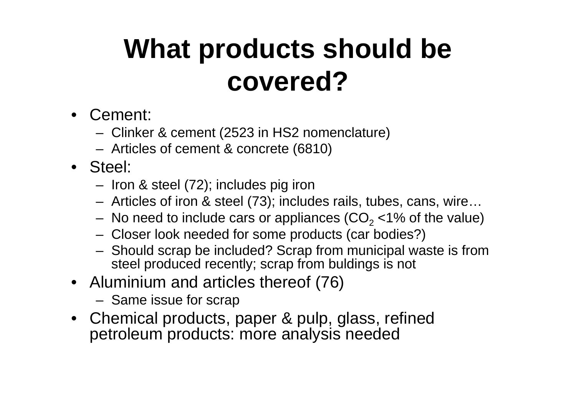## **What products should becovered?**

- Cement:
	- –Clinker & cement (2523 in HS2 nomenclature)
	- –Articles of cement & concrete (6810)
- Steel:
	- –Iron & steel (72); includes pig iron
	- $-$  Articles of iron & steel (73): inclu Articles of iron & steel (73); includes rails, tubes, cans, wire…
	- $=$  TWO LIPPO TO INTURNEY CONSTITUTION USES IN A 7. K T 70 OF THE VALU No need to include cars or appliances  $(CO<sub>2</sub> < 1%$  of the value)
	- $-$  נוואיות וויות שמוסח ומראשות את השפט היה את היה היה היה היה ה Closer look needed for some products (car bodies?)
	- – Should scrap be included? Scrap from municipal waste is fromsteel produced recently; scrap from buldings is not
- Aluminium and articles thereof (76)
	- –Same issue for scrap
- Chemical products, paper & pulp, glass, refinedpetroleum products: more analysis needed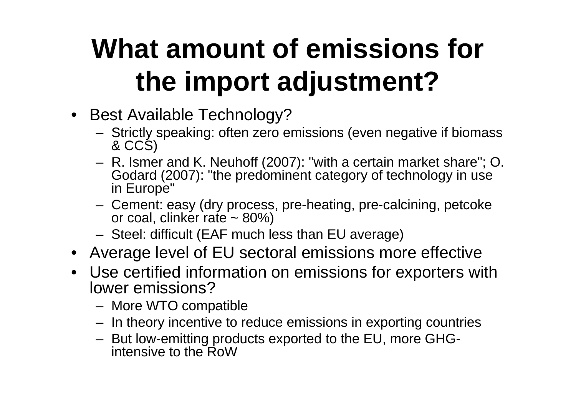## **What amount of emissions for the import adjustment?**

- Best Available Technology?
	- – Strictly speaking: often zero emissions (even negative if biomass& CCS)
	- – R. Ismer and K. Neuhoff (2007): "with a certain market share"; O. Godard (2007): "the predominent category of technology in use in Europe"
	- – Cement: easy (dry process, pre-heating, pre-calcining, petcokeor coal, clinker rate  $\sim$  80%)
	- –Steel: difficult (EAF much less than EU average)
- Average level of EU sectoral emissions more effective
- Use certified information on emissions for exporters withlower emissions?
	- $-$  N/LOrg W/III com More WTO compatible
	- $-$  In theory incentive to  $-$ In theory incentive to reduce emissions in exporting countries
	- – But low-emitting products exported to the EU, more GHGintensive to the RoW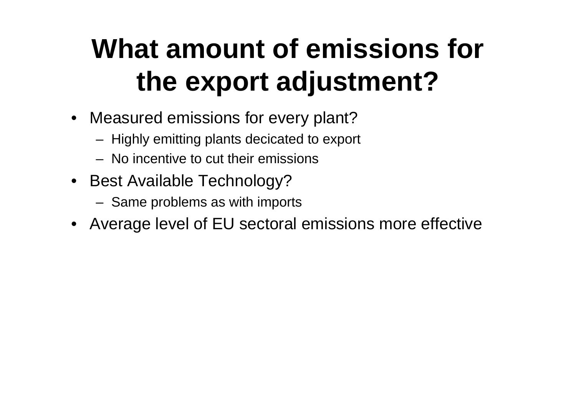## **What amount of emissions for the export adjustment?**

- Measured emissions for every plant?
	- –Highly emitting plants decicated to export
	- –No incentive to cut their emissions
- Best Available Technology?
	- –Same problems as with imports
- Average level of EU sectoral emissions more effective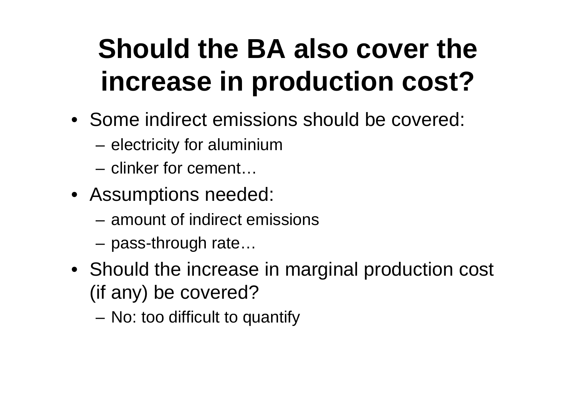## **Should the BA also cover theincrease in production cost?**

- Some indirect emissions should be covered:
	- **Links of the Company** electricity for aluminium
	- –clinker for cement…
- Assumptions needed:
	- and the state of the amount of indirect emissions
	- –pass-through rate…
- Should the increase in marginal production cost (if any) be covered?
	- **Links of the Company** No: too difficult to quantify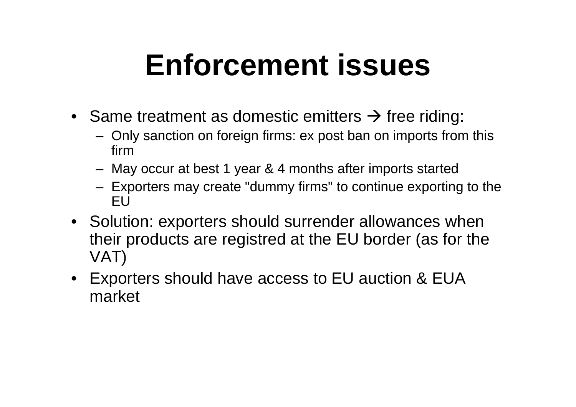## **Enforcement issues**

- Same treatment as domestic emitters  $\rightarrow$  free riding:<br>- Only sanction on foreign firms: ex post han on imports from
	- – Only sanction on foreign firms: ex post ban on imports from thisfirm
	- –May occur at best 1 year & 4 months after imports started
	- $\sim$   $\sim$ – Exporters may create "dummy firms" to continue exporting to theEU
- Solution: exporters should surrender allowances when their products are registred at the EU border (as for theVAT)
- Exporters should have access to EU auction & EUA market